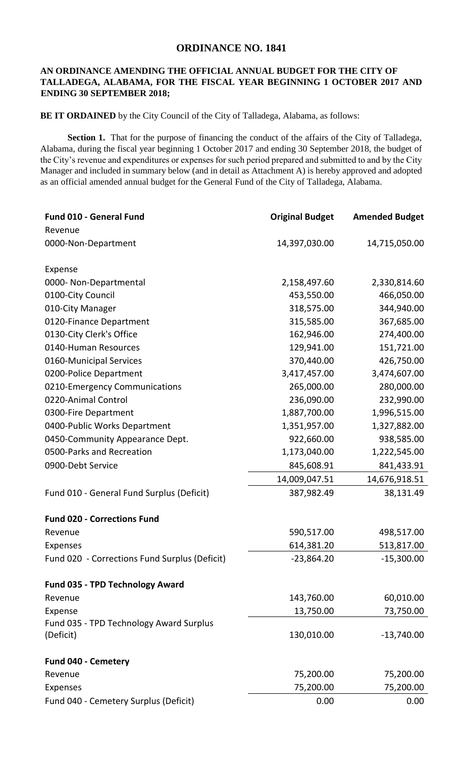## **ORDINANCE NO. 1841**

## **AN ORDINANCE AMENDING THE OFFICIAL ANNUAL BUDGET FOR THE CITY OF TALLADEGA, ALABAMA, FOR THE FISCAL YEAR BEGINNING 1 OCTOBER 2017 AND ENDING 30 SEPTEMBER 2018;**

**BE IT ORDAINED** by the City Council of the City of Talladega, Alabama, as follows:

Section 1. That for the purpose of financing the conduct of the affairs of the City of Talladega, Alabama, during the fiscal year beginning 1 October 2017 and ending 30 September 2018, the budget of the City's revenue and expenditures or expenses for such period prepared and submitted to and by the City Manager and included in summary below (and in detail as Attachment A) is hereby approved and adopted as an official amended annual budget for the General Fund of the City of Talladega, Alabama.

| Fund 010 - General Fund                       | <b>Original Budget</b> | <b>Amended Budget</b> |
|-----------------------------------------------|------------------------|-----------------------|
| Revenue                                       |                        |                       |
| 0000-Non-Department                           | 14,397,030.00          | 14,715,050.00         |
| Expense                                       |                        |                       |
| 0000- Non-Departmental                        | 2,158,497.60           | 2,330,814.60          |
| 0100-City Council                             | 453,550.00             | 466,050.00            |
| 010-City Manager                              | 318,575.00             | 344,940.00            |
| 0120-Finance Department                       | 315,585.00             | 367,685.00            |
| 0130-City Clerk's Office                      | 162,946.00             | 274,400.00            |
| 0140-Human Resources                          | 129,941.00             | 151,721.00            |
| 0160-Municipal Services                       | 370,440.00             | 426,750.00            |
| 0200-Police Department                        | 3,417,457.00           | 3,474,607.00          |
| 0210-Emergency Communications                 | 265,000.00             | 280,000.00            |
| 0220-Animal Control                           | 236,090.00             | 232,990.00            |
| 0300-Fire Department                          | 1,887,700.00           | 1,996,515.00          |
| 0400-Public Works Department                  | 1,351,957.00           | 1,327,882.00          |
| 0450-Community Appearance Dept.               | 922,660.00             | 938,585.00            |
| 0500-Parks and Recreation                     | 1,173,040.00           | 1,222,545.00          |
| 0900-Debt Service                             | 845,608.91             | 841,433.91            |
|                                               | 14,009,047.51          | 14,676,918.51         |
| Fund 010 - General Fund Surplus (Deficit)     | 387,982.49             | 38,131.49             |
| <b>Fund 020 - Corrections Fund</b>            |                        |                       |
| Revenue                                       | 590,517.00             | 498,517.00            |
| <b>Expenses</b>                               | 614,381.20             | 513,817.00            |
| Fund 020 - Corrections Fund Surplus (Deficit) | $-23,864.20$           | $-15,300.00$          |
| Fund 035 - TPD Technology Award               |                        |                       |
| Revenue                                       | 143,760.00             | 60,010.00             |
| Expense                                       | 13,750.00              | 73,750.00             |
| Fund 035 - TPD Technology Award Surplus       |                        |                       |
| (Deficit)                                     | 130,010.00             | $-13,740.00$          |
| <b>Fund 040 - Cemetery</b>                    |                        |                       |
| Revenue                                       | 75,200.00              | 75,200.00             |
| <b>Expenses</b>                               | 75,200.00              | 75,200.00             |
| Fund 040 - Cemetery Surplus (Deficit)         | 0.00                   | 0.00                  |